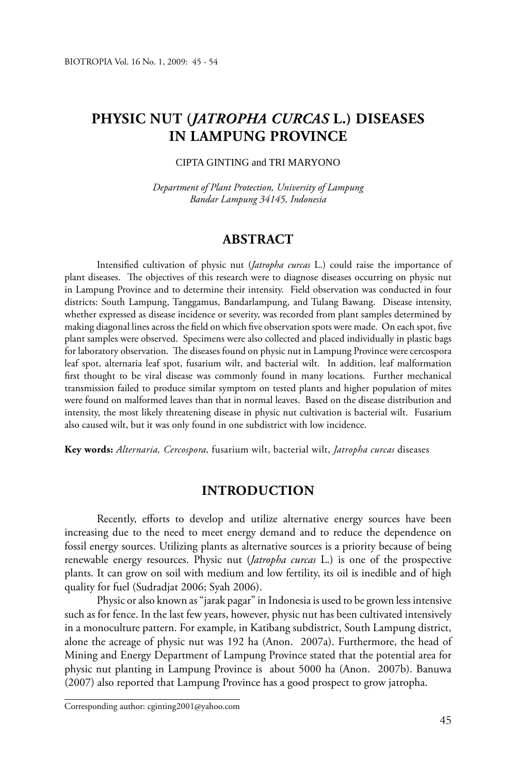# **PHYSIC NUT (***JATROPHA CURCAS* **L.) DISEASES IN LAMPUNG PROVINCE**

### CIPTA GINTING and TRI MARYONO

*Department of Plant Protection, University of Lampung Bandar Lampung 34145, Indonesia*

## **ABSTRACT**

Intensified cultivation of physic nut (*Jatropha curcas* L.) could raise the importance of plant diseases. The objectives of this research were to diagnose diseases occurring on physic nut in Lampung Province and to determine their intensity. Field observation was conducted in four districts: South Lampung, Tanggamus, Bandarlampung, and Tulang Bawang. Disease intensity, whether expressed as disease incidence or severity, was recorded from plant samples determined by making diagonal lines across the field on which five observation spots were made. On each spot, five plant samples were observed. Specimens were also collected and placed individually in plastic bags for laboratory observation. The diseases found on physic nut in Lampung Province were cercospora leaf spot, alternaria leaf spot, fusarium wilt, and bacterial wilt. In addition, leaf malformation first thought to be viral disease was commonly found in many locations. Further mechanical transmission failed to produce similar symptom on tested plants and higher population of mites were found on malformed leaves than that in normal leaves. Based on the disease distribution and intensity, the most likely threatening disease in physic nut cultivation is bacterial wilt. Fusarium also caused wilt, but it was only found in one subdistrict with low incidence.

**Key words:** *Alternaria, Cercospora,* fusarium wilt, bacterial wilt, *Jatropha curcas* diseases

## **INTRODUCTION**

Recently, efforts to develop and utilize alternative energy sources have been increasing due to the need to meet energy demand and to reduce the dependence on fossil energy sources. Utilizing plants as alternative sources is a priority because of being renewable energy resources. Physic nut (*Jatropha curcas* L.) is one of the prospective plants. It can grow on soil with medium and low fertility, its oil is inedible and of high quality for fuel (Sudradjat 2006; Syah 2006).

Physic or also known as "jarak pagar" in Indonesia is used to be grown less intensive such as for fence. In the last few years, however, physic nut has been cultivated intensively in a monoculture pattern. For example, in Katibang subdistrict, South Lampung district, alone the acreage of physic nut was 192 ha (Anon. 2007a). Furthermore, the head of Mining and Energy Department of Lampung Province stated that the potential area for physic nut planting in Lampung Province is about 5000 ha (Anon. 2007b). Banuwa (2007) also reported that Lampung Province has a good prospect to grow jatropha.

Corresponding author: cginting2001@yahoo.com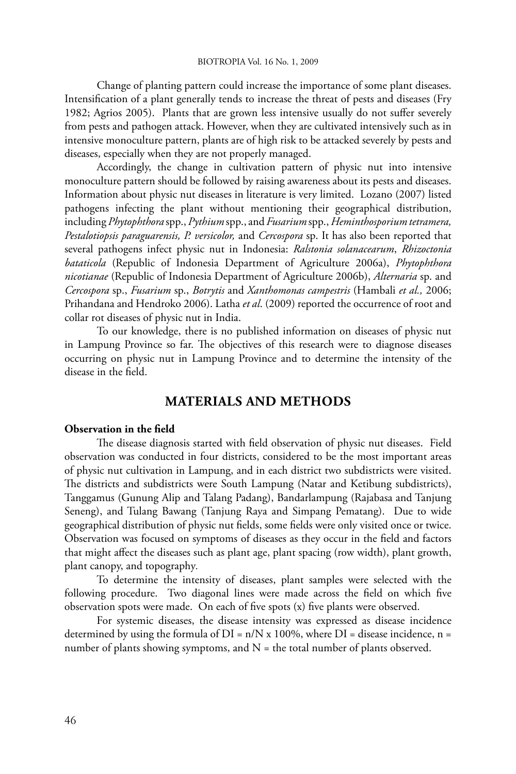Change of planting pattern could increase the importance of some plant diseases. Intensification of a plant generally tends to increase the threat of pests and diseases (Fry 1982; Agrios 2005). Plants that are grown less intensive usually do not suffer severely from pests and pathogen attack. However, when they are cultivated intensively such as in intensive monoculture pattern, plants are of high risk to be attacked severely by pests and diseases, especially when they are not properly managed.

Accordingly, the change in cultivation pattern of physic nut into intensive monoculture pattern should be followed by raising awareness about its pests and diseases. Information about physic nut diseases in literature is very limited. Lozano (2007) listed pathogens infecting the plant without mentioning their geographical distribution, including *Phytophthora* spp., *Pythium* spp., and *Fusarium* spp., *Heminthosporium tetramera, Pestalotiopsis paraguarensis, P. versicolor,* and *Cercospora* sp. It has also been reported that several pathogens infect physic nut in Indonesia: *Ralstonia solanacearum*, *Rhizoctonia bataticola* (Republic of Indonesia Department of Agriculture 2006a), *Phytophthora nicotianae* (Republic of Indonesia Department of Agriculture 2006b), *Alternaria* sp. and *Cercospora* sp., *Fusarium* sp., *Botrytis* and *Xanthomonas campestris* (Hambali *et al.,* 2006; Prihandana and Hendroko 2006). Latha *et al*. (2009) reported the occurrence of root and collar rot diseases of physic nut in India.

To our knowledge, there is no published information on diseases of physic nut in Lampung Province so far. The objectives of this research were to diagnose diseases occurring on physic nut in Lampung Province and to determine the intensity of the disease in the field.

# **MATERIALS AND METHODS**

#### **Observation in the field**

The disease diagnosis started with field observation of physic nut diseases. Field observation was conducted in four districts, considered to be the most important areas of physic nut cultivation in Lampung, and in each district two subdistricts were visited. The districts and subdistricts were South Lampung (Natar and Ketibung subdistricts), Tanggamus (Gunung Alip and Talang Padang), Bandarlampung (Rajabasa and Tanjung Seneng), and Tulang Bawang (Tanjung Raya and Simpang Pematang). Due to wide geographical distribution of physic nut fields, some fields were only visited once or twice. Observation was focused on symptoms of diseases as they occur in the field and factors that might affect the diseases such as plant age, plant spacing (row width), plant growth, plant canopy, and topography*.*

To determine the intensity of diseases, plant samples were selected with the following procedure. Two diagonal lines were made across the field on which five observation spots were made. On each of five spots  $(x)$  five plants were observed.

For systemic diseases, the disease intensity was expressed as disease incidence determined by using the formula of  $DI = n/N$  x 100%, where  $DI =$  disease incidence, n = number of plants showing symptoms, and  $N =$  the total number of plants observed.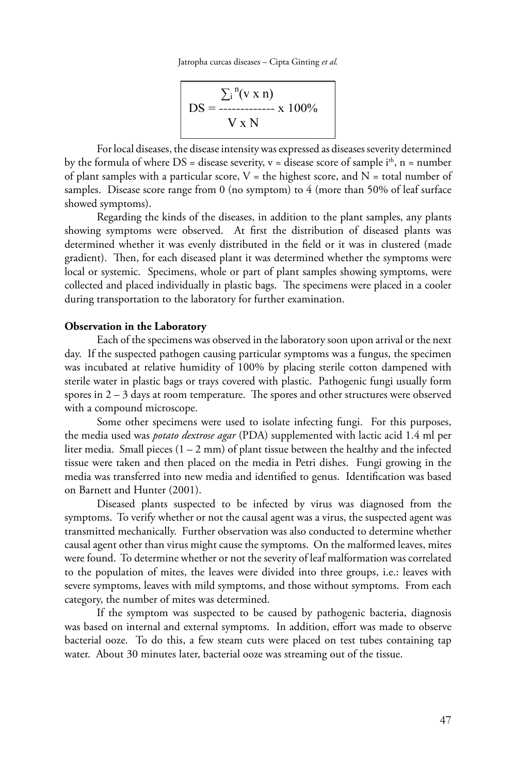Jatropha curcas diseases – Cipta Ginting *et al.*

$$
DS = \frac{\sum_{i}^{n}(v \times n)}{V \times N}
$$

For local diseases, the disease intensity was expressed as diseases severity determined by the formula of where  $DS =$  disease severity,  $v =$  disease score of sample  $i<sup>th</sup>$ ,  $n =$  number of plant samples with a particular score,  $V =$  the highest score, and  $N =$  total number of samples. Disease score range from 0 (no symptom) to 4 (more than 50% of leaf surface showed symptoms).

Regarding the kinds of the diseases, in addition to the plant samples, any plants showing symptoms were observed. At first the distribution of diseased plants was determined whether it was evenly distributed in the field or it was in clustered (made gradient). Then, for each diseased plant it was determined whether the symptoms were local or systemic. Specimens, whole or part of plant samples showing symptoms, were collected and placed individually in plastic bags. The specimens were placed in a cooler during transportation to the laboratory for further examination.

### **Observation in the Laboratory**

Each of the specimens was observed in the laboratory soon upon arrival or the next day. If the suspected pathogen causing particular symptoms was a fungus, the specimen was incubated at relative humidity of 100% by placing sterile cotton dampened with sterile water in plastic bags or trays covered with plastic. Pathogenic fungi usually form spores in  $2 - 3$  days at room temperature. The spores and other structures were observed with a compound microscope.

Some other specimens were used to isolate infecting fungi. For this purposes, the media used was *potato dextrose agar* (PDA) supplemented with lactic acid 1.4 ml per liter media. Small pieces  $(1 - 2 \text{ mm})$  of plant tissue between the healthy and the infected tissue were taken and then placed on the media in Petri dishes. Fungi growing in the media was transferred into new media and identified to genus. Identification was based on Barnett and Hunter (2001).

Diseased plants suspected to be infected by virus was diagnosed from the symptoms. To verify whether or not the causal agent was a virus, the suspected agent was transmitted mechanically. Further observation was also conducted to determine whether causal agent other than virus might cause the symptoms. On the malformed leaves, mites were found. To determine whether or not the severity of leaf malformation was correlated to the population of mites, the leaves were divided into three groups, i.e.: leaves with severe symptoms, leaves with mild symptoms, and those without symptoms. From each category, the number of mites was determined.

If the symptom was suspected to be caused by pathogenic bacteria, diagnosis was based on internal and external symptoms. In addition, effort was made to observe bacterial ooze. To do this, a few steam cuts were placed on test tubes containing tap water. About 30 minutes later, bacterial ooze was streaming out of the tissue.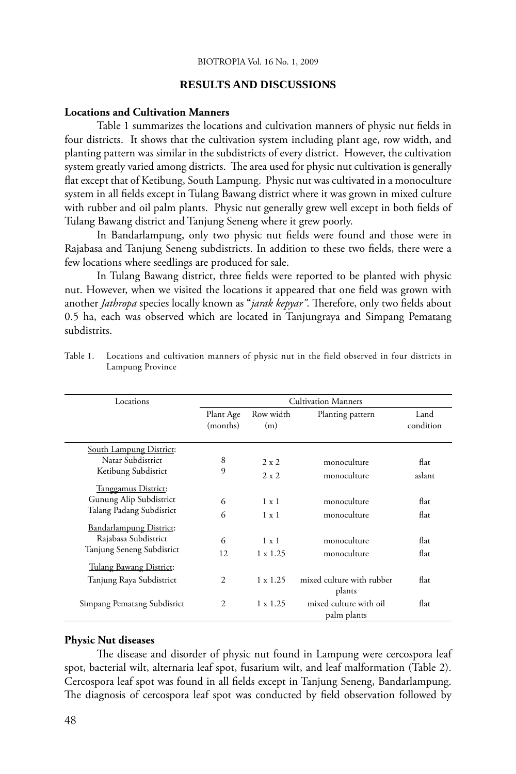#### BIOTROPIA Vol. 16 No. 1, 2009

## **RESULTS AND DISCUSSIONS**

## **Locations and Cultivation Manners**

Table 1 summarizes the locations and cultivation manners of physic nut fields in four districts. It shows that the cultivation system including plant age, row width, and planting pattern was similar in the subdistricts of every district. However, the cultivation system greatly varied among districts. The area used for physic nut cultivation is generally flat except that of Ketibung, South Lampung. Physic nut was cultivated in a monoculture system in all fields except in Tulang Bawang district where it was grown in mixed culture with rubber and oil palm plants. Physic nut generally grew well except in both fields of Tulang Bawang district and Tanjung Seneng where it grew poorly.

In Bandarlampung, only two physic nut fields were found and those were in Rajabasa and Tanjung Seneng subdistricts. In addition to these two fields, there were a few locations where seedlings are produced for sale.

In Tulang Bawang district, three fields were reported to be planted with physic nut. However, when we visited the locations it appeared that one field was grown with another *Jathropa* species locally known as "*jarak kepyar*". Therefore, only two fields about 0.5 ha, each was observed which are located in Tanjungraya and Simpang Pematang subdistrits.

| Locations                                           |                       | <b>Cultivation Manners</b> |                                       |                   |  |  |
|-----------------------------------------------------|-----------------------|----------------------------|---------------------------------------|-------------------|--|--|
|                                                     | Plant Age<br>(months) | Row width<br>(m)           | Planting pattern                      | Land<br>condition |  |  |
| <b>South Lampung District:</b>                      |                       |                            |                                       |                   |  |  |
| Natar Subdistrict                                   | 8                     | $2 \times 2$               | monoculture                           | flat              |  |  |
| Ketibung Subdisrict                                 | 9                     | $2 \times 2$               | monoculture                           | aslant            |  |  |
| Tanggamus District:                                 |                       |                            |                                       |                   |  |  |
| Gunung Alip Subdistrict<br>Talang Padang Subdisrict | 6                     | $1 \times 1$               | monoculture                           | flat              |  |  |
|                                                     | 6                     | $1 \times 1$               | monoculture                           | flat              |  |  |
| <b>Bandarlampung District:</b>                      |                       |                            |                                       |                   |  |  |
| Rajabasa Subdistrict                                | 6                     | $1 \times 1$               | monoculture                           | flat              |  |  |
| Tanjung Seneng Subdisrict                           | 12                    | $1 \times 1.25$            | monoculture                           | flat              |  |  |
| Tulang Bawang District:                             |                       |                            |                                       |                   |  |  |
| Tanjung Raya Subdistrict                            | $\overline{c}$        | $1 \times 1.25$            | mixed culture with rubber<br>plants   | flat              |  |  |
| Simpang Pematang Subdisrict                         | $\overline{c}$        | $1 \times 1.25$            | mixed culture with oil<br>palm plants | flat              |  |  |

Table 1. Locations and cultivation manners of physic nut in the field observed in four districts in Lampung Province

#### **Physic Nut diseases**

The disease and disorder of physic nut found in Lampung were cercospora leaf spot, bacterial wilt, alternaria leaf spot, fusarium wilt, and leaf malformation (Table 2). Cercospora leaf spot was found in all fields except in Tanjung Seneng, Bandarlampung. The diagnosis of cercospora leaf spot was conducted by field observation followed by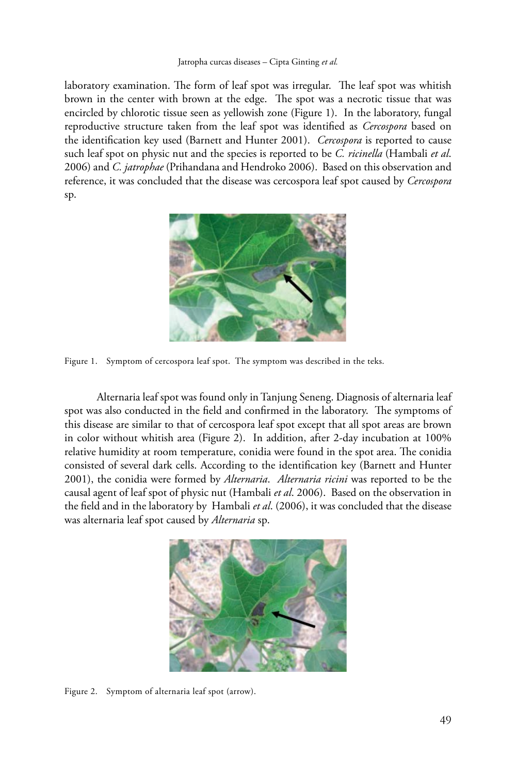laboratory examination. The form of leaf spot was irregular. The leaf spot was whitish brown in the center with brown at the edge. The spot was a necrotic tissue that was encircled by chlorotic tissue seen as yellowish zone (Figure 1). In the laboratory, fungal reproductive structure taken from the leaf spot was identified as *Cercospora* based on the identification key used (Barnett and Hunter 2001). *Cercospora* is reported to cause such leaf spot on physic nut and the species is reported to be *C. ricinella* (Hambali *et al*. 2006) and *C. jatrophae* (Prihandana and Hendroko 2006). Based on this observation and reference, it was concluded that the disease was cercospora leaf spot caused by *Cercospora*  sp.



Figure 1. Symptom of cercospora leaf spot. The symptom was described in the teks.

Alternaria leaf spot was found only in Tanjung Seneng. Diagnosis of alternaria leaf spot was also conducted in the field and confirmed in the laboratory. The symptoms of this disease are similar to that of cercospora leaf spot except that all spot areas are brown in color without whitish area (Figure 2). In addition, after 2-day incubation at 100% relative humidity at room temperature, conidia were found in the spot area. The conidia consisted of several dark cells. According to the identification key (Barnett and Hunter 2001), the conidia were formed by *Alternaria*. *Alternaria ricini* was reported to be the causal agent of leaf spot of physic nut (Hambali *et al*. 2006). Based on the observation in the field and in the laboratory by Hambali et al. (2006), it was concluded that the disease was alternaria leaf spot caused by *Alternaria* sp.



Figure 2. Symptom of alternaria leaf spot (arrow).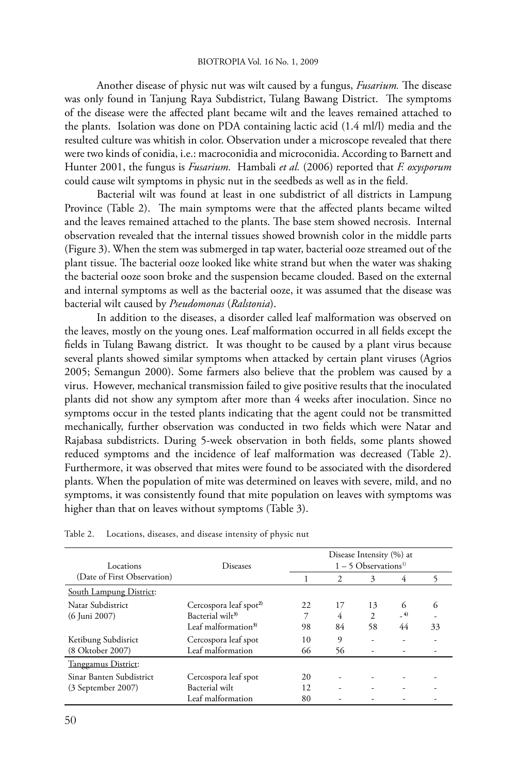Another disease of physic nut was wilt caused by a fungus, *Fusarium*. The disease was only found in Tanjung Raya Subdistrict, Tulang Bawang District. The symptoms of the disease were the affected plant became wilt and the leaves remained attached to the plants. Isolation was done on PDA containing lactic acid (1.4 ml/l) media and the resulted culture was whitish in color. Observation under a microscope revealed that there were two kinds of conidia, i.e.: macroconidia and microconidia. According to Barnett and Hunter 2001, the fungus is *Fusarium.* Hambali *et al.* (2006) reported that *F. oxysporum*  could cause wilt symptoms in physic nut in the seedbeds as well as in the field.

Bacterial wilt was found at least in one subdistrict of all districts in Lampung Province (Table 2). The main symptoms were that the affected plants became wilted and the leaves remained attached to the plants. The base stem showed necrosis. Internal observation revealed that the internal tissues showed brownish color in the middle parts (Figure 3). When the stem was submerged in tap water, bacterial ooze streamed out of the plant tissue. The bacterial ooze looked like white strand but when the water was shaking the bacterial ooze soon broke and the suspension became clouded. Based on the external and internal symptoms as well as the bacterial ooze, it was assumed that the disease was bacterial wilt caused by *Pseudomonas* (*Ralstonia*).

In addition to the diseases, a disorder called leaf malformation was observed on the leaves, mostly on the young ones. Leaf malformation occurred in all fields except the fields in Tulang Bawang district. It was thought to be caused by a plant virus because several plants showed similar symptoms when attacked by certain plant viruses (Agrios 2005; Semangun 2000). Some farmers also believe that the problem was caused by a virus. However, mechanical transmission failed to give positive results that the inoculated plants did not show any symptom after more than 4 weeks after inoculation. Since no symptoms occur in the tested plants indicating that the agent could not be transmitted mechanically, further observation was conducted in two fields which were Natar and Rajabasa subdistricts. During 5-week observation in both fields, some plants showed reduced symptoms and the incidence of leaf malformation was decreased (Table 2). Furthermore, it was observed that mites were found to be associated with the disordered plants. When the population of mite was determined on leaves with severe, mild, and no symptoms, it was consistently found that mite population on leaves with symptoms was higher than that on leaves without symptoms (Table 3).

| Locations                      | Diseases                           | Disease Intensity (%) at<br>$1 - 5$ Observations <sup>1)</sup> |    |                |       |    |
|--------------------------------|------------------------------------|----------------------------------------------------------------|----|----------------|-------|----|
| (Date of First Observation)    |                                    |                                                                | 2  | 3              | 4     | 5  |
| <b>South Lampung District:</b> |                                    |                                                                |    |                |       |    |
| Natar Subdistrict              | Cercospora leaf spot <sup>2)</sup> | 22                                                             | 17 | 13             | 6     | 6  |
| (6 Juni 2007)                  | Bacterial wilt <sup>3)</sup>       | 7                                                              | 4  | $\overline{c}$ | $-4)$ |    |
|                                | Leaf malformation $^{3)}$          | 98                                                             | 84 | 58             | 44    | 33 |
| Ketibung Subdisrict            | Cercospora leaf spot               | 10                                                             | 9  | ۰              | -     |    |
| (8 Oktober 2007)               | Leaf malformation                  | 66                                                             | 56 |                |       |    |
| Tanggamus District:            |                                    |                                                                |    |                |       |    |
| Sinar Banten Subdistrict       | Cercospora leaf spot               | 20                                                             |    |                |       |    |
| (3 September 2007)             | Bacterial wilt                     | 12.                                                            |    |                |       |    |
|                                | Leaf malformation                  | 80                                                             |    |                |       |    |

Table 2. Locations, diseases, and disease intensity of physic nut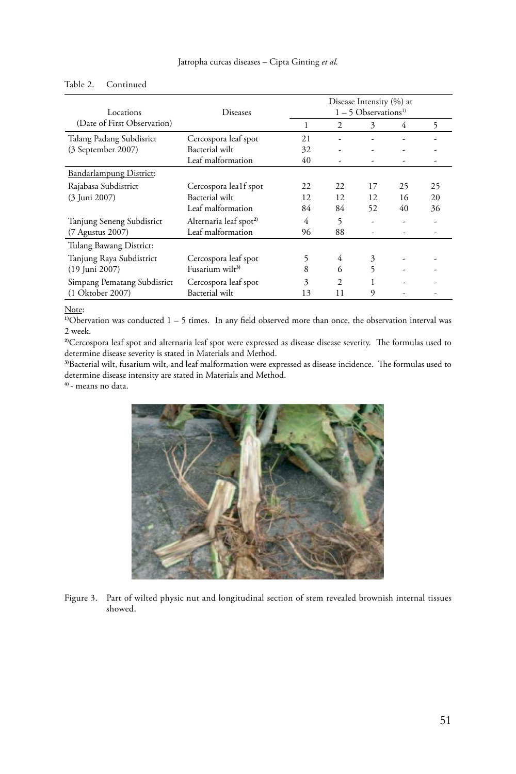### Jatropha curcas diseases – Cipta Ginting *et al.*

| Locations                      | Diseases                           |    | Disease Intensity (%) at<br>$1 - 5$ Observations <sup>1)</sup> |    |    |    |
|--------------------------------|------------------------------------|----|----------------------------------------------------------------|----|----|----|
| (Date of First Observation)    |                                    | 1  | $\overline{c}$                                                 | 3  | 4  | 5  |
| Talang Padang Subdisrict       | Cercospora leaf spot               | 21 |                                                                |    |    |    |
| (3 September 2007)             | Bacterial wilt                     | 32 |                                                                |    |    |    |
|                                | Leaf malformation                  | 40 |                                                                |    |    |    |
| <b>Bandarlampung District:</b> |                                    |    |                                                                |    |    |    |
| Rajabasa Subdistrict           | Cercospora lealf spot              | 22 | 22                                                             | 17 | 25 | 25 |
| (3 Juni 2007)                  | Bacterial wilt                     | 12 | 12                                                             | 12 | 16 | 20 |
|                                | Leaf malformation                  | 84 | 84                                                             | 52 | 40 | 36 |
| Tanjung Seneng Subdisrict      | Alternaria leaf spot <sup>2)</sup> | 4  | 5                                                              |    |    |    |
| (7 Agustus 2007)               | Leaf malformation                  | 96 | 88                                                             |    |    |    |
| Tulang Bawang District:        |                                    |    |                                                                |    |    |    |
| Tanjung Raya Subdistrict       | Cercospora leaf spot               | 5  | 4                                                              | 3  |    |    |
| $(19 \; \text{Juni } 2007)$    | Fusarium wilt <sup>3)</sup>        | 8  | 6                                                              | 5  |    |    |
| Simpang Pematang Subdisrict    | Cercospora leaf spot               | 3  | $\overline{c}$                                                 |    |    |    |
| (1 Oktober 2007)               | Bacterial wilt                     | 13 | 11                                                             | 9  |    |    |

#### Table 2. Continued

#### Note:

<sup>1)</sup>Obervation was conducted 1 – 5 times. In any field observed more than once, the observation interval was 2 week.

<sup>2)</sup>Cercospora leaf spot and alternaria leaf spot were expressed as disease disease severity. The formulas used to determine disease severity is stated in Materials and Method.

<sup>3)</sup>Bacterial wilt, fusarium wilt, and leaf malformation were expressed as disease incidence. The formulas used to determine disease intensity are stated in Materials and Method.

**4)** - means no data.



Figure 3. Part of wilted physic nut and longitudinal section of stem revealed brownish internal tissues showed.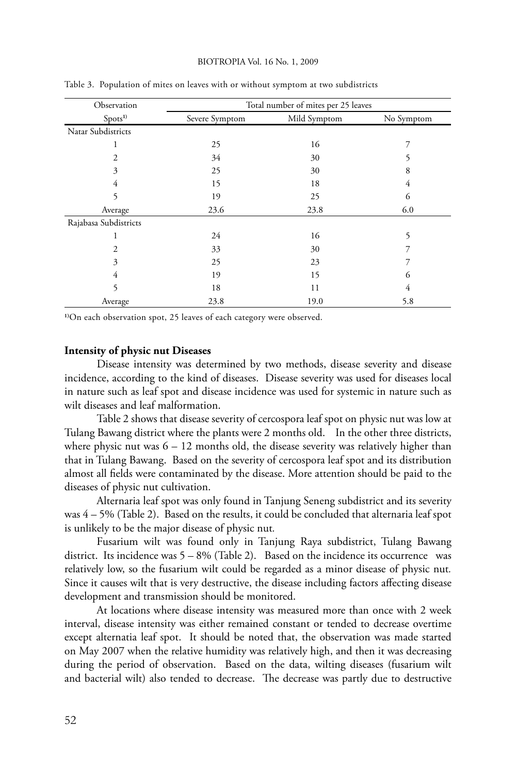#### BIOTROPIA Vol. 16 No. 1, 2009

| Observation           | Total number of mites per 25 leaves |              |            |  |  |
|-----------------------|-------------------------------------|--------------|------------|--|--|
| Spots <sup>1)</sup>   | Severe Symptom                      | Mild Symptom | No Symptom |  |  |
| Natar Subdistricts    |                                     |              |            |  |  |
| 1                     | 25                                  | 16           | 7          |  |  |
| 2                     | 34                                  | 30           | 5          |  |  |
| 3                     | 25                                  | 30           | 8          |  |  |
| 4                     | 15                                  | 18           | 4          |  |  |
| 5                     | 19                                  | 25           | 6          |  |  |
| Average               | 23.6                                | 23.8         | 6.0        |  |  |
| Rajabasa Subdistricts |                                     |              |            |  |  |
| ш                     | 24                                  | 16           | 5          |  |  |
| $\overline{2}$        | 33                                  | 30           |            |  |  |
| 3                     | 25                                  | 23           | 7          |  |  |
| 4                     | 19                                  | 15           | 6          |  |  |
| 5                     | 18                                  | 11           | 4          |  |  |
| Average               | 23.8                                | 19.0         | 5.8        |  |  |

Table 3. Population of mites on leaves with or without symptom at two subdistricts

**1)**On each observation spot, 25 leaves of each category were observed.

#### **Intensity of physic nut Diseases**

Disease intensity was determined by two methods, disease severity and disease incidence, according to the kind of diseases. Disease severity was used for diseases local in nature such as leaf spot and disease incidence was used for systemic in nature such as wilt diseases and leaf malformation.

Table 2 shows that disease severity of cercospora leaf spot on physic nut was low at Tulang Bawang district where the plants were 2 months old. In the other three districts, where physic nut was  $6 - 12$  months old, the disease severity was relatively higher than that in Tulang Bawang. Based on the severity of cercospora leaf spot and its distribution almost all fields were contaminated by the disease. More attention should be paid to the diseases of physic nut cultivation.

Alternaria leaf spot was only found in Tanjung Seneng subdistrict and its severity was 4 – 5% (Table 2). Based on the results, it could be concluded that alternaria leaf spot is unlikely to be the major disease of physic nut*.*

Fusarium wilt was found only in Tanjung Raya subdistrict, Tulang Bawang district. Its incidence was  $5 - 8\%$  (Table 2). Based on the incidence its occurrence was relatively low, so the fusarium wilt could be regarded as a minor disease of physic nut*.*  Since it causes wilt that is very destructive, the disease including factors affecting disease development and transmission should be monitored.

At locations where disease intensity was measured more than once with 2 week interval, disease intensity was either remained constant or tended to decrease overtime except alternatia leaf spot. It should be noted that, the observation was made started on May 2007 when the relative humidity was relatively high, and then it was decreasing during the period of observation. Based on the data, wilting diseases (fusarium wilt and bacterial wilt) also tended to decrease. The decrease was partly due to destructive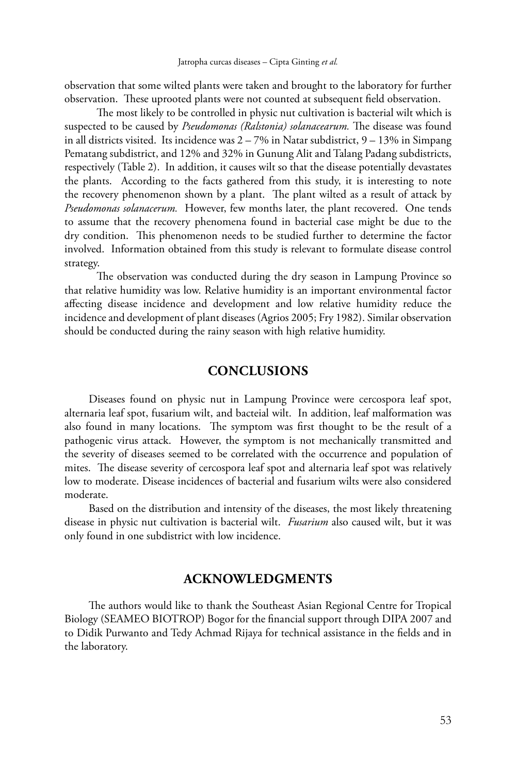observation that some wilted plants were taken and brought to the laboratory for further observation. These uprooted plants were not counted at subsequent field observation.

The most likely to be controlled in physic nut cultivation is bacterial wilt which is suspected to be caused by *Pseudomonas (Ralstonia) solanacearum*. The disease was found in all districts visited. Its incidence was  $2 - 7\%$  in Natar subdistrict,  $9 - 13\%$  in Simpang Pematang subdistrict, and 12% and 32% in Gunung Alit and Talang Padang subdistricts, respectively (Table 2). In addition, it causes wilt so that the disease potentially devastates the plants. According to the facts gathered from this study, it is interesting to note the recovery phenomenon shown by a plant. The plant wilted as a result of attack by *Pseudomonas solanacerum.* However, few months later, the plant recovered. One tends to assume that the recovery phenomena found in bacterial case might be due to the dry condition. This phenomenon needs to be studied further to determine the factor involved. Information obtained from this study is relevant to formulate disease control strategy.

The observation was conducted during the dry season in Lampung Province so that relative humidity was low. Relative humidity is an important environmental factor affecting disease incidence and development and low relative humidity reduce the incidence and development of plant diseases (Agrios 2005; Fry 1982). Similar observation should be conducted during the rainy season with high relative humidity.

## **CONCLUSIONS**

Diseases found on physic nut in Lampung Province were cercospora leaf spot, alternaria leaf spot, fusarium wilt, and bacteial wilt. In addition, leaf malformation was also found in many locations. The symptom was first thought to be the result of a pathogenic virus attack. However, the symptom is not mechanically transmitted and the severity of diseases seemed to be correlated with the occurrence and population of mites. The disease severity of cercospora leaf spot and alternaria leaf spot was relatively low to moderate. Disease incidences of bacterial and fusarium wilts were also considered moderate.

Based on the distribution and intensity of the diseases, the most likely threatening disease in physic nut cultivation is bacterial wilt. *Fusarium* also caused wilt, but it was only found in one subdistrict with low incidence.

## **ACKNOWLEDGMENTS**

The authors would like to thank the Southeast Asian Regional Centre for Tropical Biology (SEAMEO BIOTROP) Bogor for the financial support through DIPA 2007 and to Didik Purwanto and Tedy Achmad Rijaya for technical assistance in the fields and in the laboratory.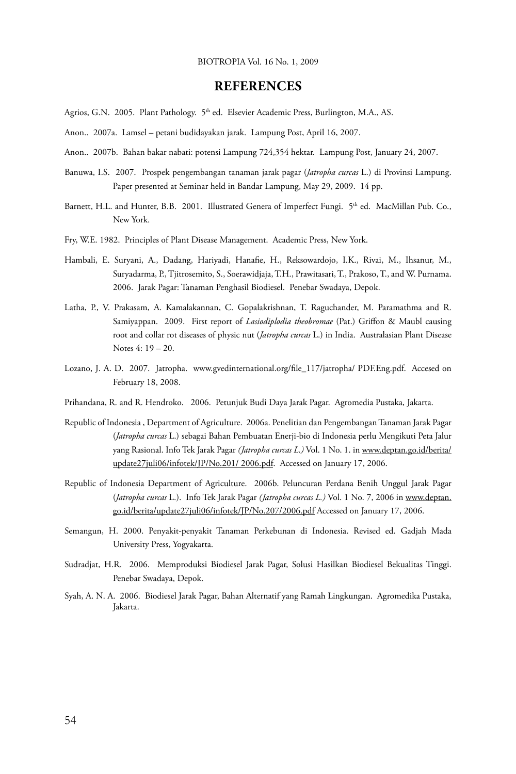#### BIOTROPIA Vol. 16 No. 1, 2009

## **REFERENCES**

- Agrios, G.N. 2005. Plant Pathology. 5<sup>th</sup> ed. Elsevier Academic Press, Burlington, M.A., AS.
- Anon.. 2007a. Lamsel petani budidayakan jarak. Lampung Post, April 16, 2007.
- Anon.. 2007b. Bahan bakar nabati: potensi Lampung 724,354 hektar. Lampung Post, January 24, 2007.
- Banuwa, I.S. 2007. Prospek pengembangan tanaman jarak pagar (*Jatropha curcas* L.) di Provinsi Lampung. Paper presented at Seminar held in Bandar Lampung, May 29, 2009. 14 pp.
- Barnett, H.L. and Hunter, B.B. 2001. Illustrated Genera of Imperfect Fungi. 5th ed. MacMillan Pub. Co., New York.
- Fry, W.E. 1982. Principles of Plant Disease Management. Academic Press, New York.
- Hambali, E. Suryani, A., Dadang, Hariyadi, Hanafie, H., Reksowardojo, I.K., Rivai, M., Ihsanur, M., Suryadarma, P., Tjitrosemito, S., Soerawidjaja, T.H., Prawitasari, T., Prakoso, T., and W. Purnama. 2006. Jarak Pagar: Tanaman Penghasil Biodiesel. Penebar Swadaya, Depok.
- Latha, P., V. Prakasam, A. Kamalakannan, C. Gopalakrishnan, T. Raguchander, M. Paramathma and R. Samiyappan. 2009. First report of *Lasiodiplodia theobromae* (Pat.) Griffon & Maubl causing root and collar rot diseases of physic nut (*Jatropha curcas* L.) in India. Australasian Plant Disease Notes 4: 19 – 20.
- Lozano, J. A. D. 2007. Jatropha. www.gvedinternational.org/file\_117/jatropha/ PDF.Eng.pdf. Accesed on February 18, 2008.
- Prihandana, R. and R. Hendroko. 2006. Petunjuk Budi Daya Jarak Pagar. Agromedia Pustaka, Jakarta.
- Republic of Indonesia , Department of Agriculture. 2006a. Penelitian dan Pengembangan Tanaman Jarak Pagar (*Jatropha curcas* L.) sebagai Bahan Pembuatan Enerji-bio di Indonesia perlu Mengikuti Peta Jalur yang Rasional. Info Tek Jarak Pagar *(Jatropha curcas L.)* Vol. 1 No. 1. in www.deptan.go.id/berita/ update27juli06/infotek/JP/No.201/ 2006.pdf. Accessed on January 17, 2006.
- Republic of Indonesia Department of Agriculture. 2006b. Peluncuran Perdana Benih Unggul Jarak Pagar (*Jatropha curcas* L.). Info Tek Jarak Pagar *(Jatropha curcas L.)* Vol. 1 No. 7, 2006 in www.deptan. go.id/berita/update27juli06/infotek/JP/No.207/2006.pdf Accessed on January 17, 2006.
- Semangun, H. 2000. Penyakit-penyakit Tanaman Perkebunan di Indonesia. Revised ed. Gadjah Mada University Press, Yogyakarta.
- Sudradjat, H.R. 2006. Memproduksi Biodiesel Jarak Pagar, Solusi Hasilkan Biodiesel Bekualitas Tinggi. Penebar Swadaya, Depok.
- Syah, A. N. A. 2006. Biodiesel Jarak Pagar, Bahan Alternatif yang Ramah Lingkungan. Agromedika Pustaka, Jakarta.